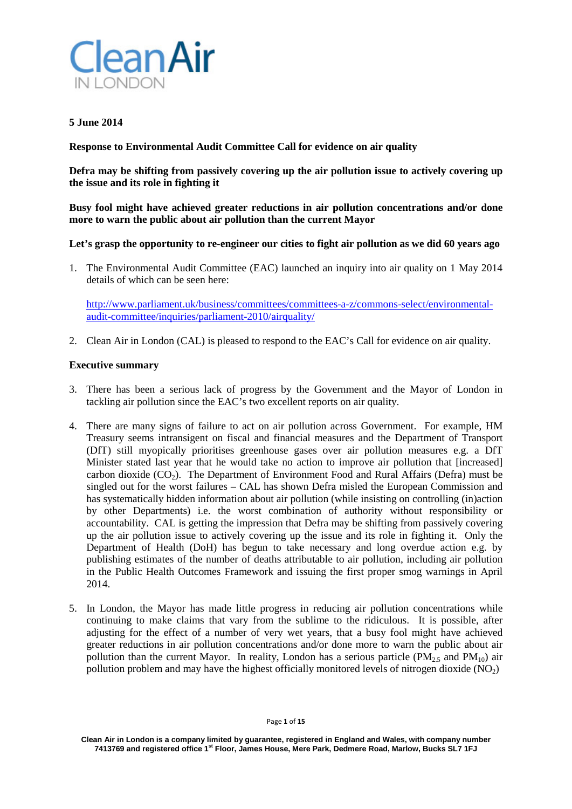

## **5 June 2014**

**Response to Environmental Audit Committee Call for evidence on air quality**

**Defra may be shifting from passively covering up the air pollution issue to actively covering up the issue and its role in fighting it**

# **Busy fool might have achieved greater reductions in air pollution concentrations and/or done more to warn the public about air pollution than the current Mayor**

### **Let's grasp the opportunity to re-engineer our cities to fight air pollution as we did 60 years ago**

1. The Environmental Audit Committee (EAC) launched an inquiry into air quality on 1 May 2014 details of which can be seen here:

[http://www.parliament.uk/business/committees/committees-a-z/commons-select/environmental](http://www.parliament.uk/business/committees/committees-a-z/commons-select/environmental-audit-committee/inquiries/parliament-2010/airquality/)[audit-committee/inquiries/parliament-2010/airquality/](http://www.parliament.uk/business/committees/committees-a-z/commons-select/environmental-audit-committee/inquiries/parliament-2010/airquality/)

2. Clean Air in London (CAL) is pleased to respond to the EAC's Call for evidence on air quality.

#### **Executive summary**

- 3. There has been a serious lack of progress by the Government and the Mayor of London in tackling air pollution since the EAC's two excellent reports on air quality.
- 4. There are many signs of failure to act on air pollution across Government. For example, HM Treasury seems intransigent on fiscal and financial measures and the Department of Transport (DfT) still myopically prioritises greenhouse gases over air pollution measures e.g. a DfT Minister stated last year that he would take no action to improve air pollution that [increased] carbon dioxide  $(CO<sub>2</sub>)$ . The Department of Environment Food and Rural Affairs (Defra) must be singled out for the worst failures – CAL has shown Defra misled the European Commission and has systematically hidden information about air pollution (while insisting on controlling (in)action by other Departments) i.e. the worst combination of authority without responsibility or accountability. CAL is getting the impression that Defra may be shifting from passively covering up the air pollution issue to actively covering up the issue and its role in fighting it. Only the Department of Health (DoH) has begun to take necessary and long overdue action e.g. by publishing estimates of the number of deaths attributable to air pollution, including air pollution in the Public Health Outcomes Framework and issuing the first proper smog warnings in April 2014.
- 5. In London, the Mayor has made little progress in reducing air pollution concentrations while continuing to make claims that vary from the sublime to the ridiculous. It is possible, after adjusting for the effect of a number of very wet years, that a busy fool might have achieved greater reductions in air pollution concentrations and/or done more to warn the public about air pollution than the current Mayor. In reality, London has a serious particle ( $PM_{2.5}$  and  $PM_{10}$ ) air pollution problem and may have the highest officially monitored levels of nitrogen dioxide  $(NO<sub>2</sub>)$

**Clean Air in London is a company limited by guarantee, registered in England and Wales, with company number 7413769 and registered office 1st Floor, James House, Mere Park, Dedmere Road, Marlow, Bucks SL7 1FJ**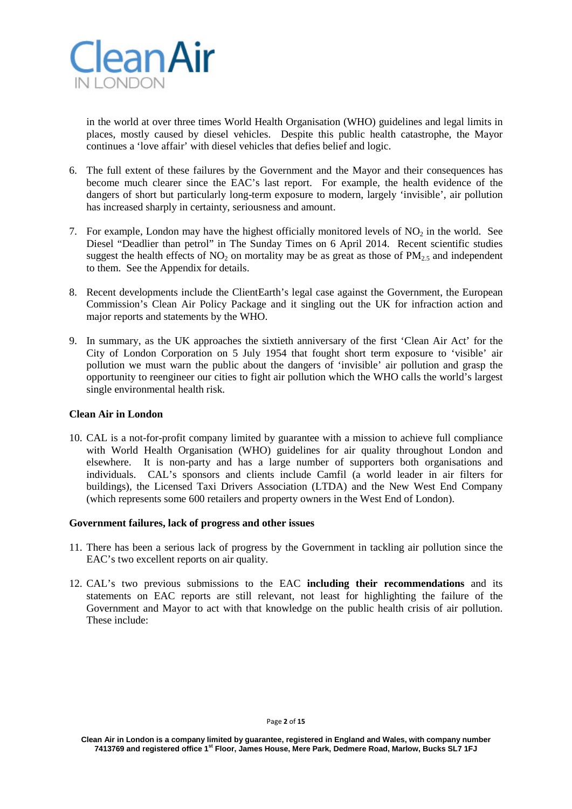

in the world at over three times World Health Organisation (WHO) guidelines and legal limits in places, mostly caused by diesel vehicles. Despite this public health catastrophe, the Mayor continues a 'love affair' with diesel vehicles that defies belief and logic.

- 6. The full extent of these failures by the Government and the Mayor and their consequences has become much clearer since the EAC's last report. For example, the health evidence of the dangers of short but particularly long-term exposure to modern, largely 'invisible', air pollution has increased sharply in certainty, seriousness and amount.
- 7. For example, London may have the highest officially monitored levels of  $NO<sub>2</sub>$  in the world. See Diesel "Deadlier than petrol" in The Sunday Times on 6 April 2014. Recent scientific studies suggest the health effects of  $NO<sub>2</sub>$  on mortality may be as great as those of  $PM<sub>2.5</sub>$  and independent to them. See the Appendix for details.
- 8. Recent developments include the ClientEarth's legal case against the Government, the European Commission's Clean Air Policy Package and it singling out the UK for infraction action and major reports and statements by the WHO.
- 9. In summary, as the UK approaches the sixtieth anniversary of the first 'Clean Air Act' for the City of London Corporation on 5 July 1954 that fought short term exposure to 'visible' air pollution we must warn the public about the dangers of 'invisible' air pollution and grasp the opportunity to reengineer our cities to fight air pollution which the WHO calls the world's largest single environmental health risk.

# **Clean Air in London**

10. CAL is a not-for-profit company limited by guarantee with a mission to achieve full compliance with World Health Organisation (WHO) guidelines for air quality throughout London and elsewhere. It is non-party and has a large number of supporters both organisations and individuals. CAL's sponsors and clients include Camfil (a world leader in air filters for buildings), the Licensed Taxi Drivers Association (LTDA) and the New West End Company (which represents some 600 retailers and property owners in the West End of London).

# **Government failures, lack of progress and other issues**

- 11. There has been a serious lack of progress by the Government in tackling air pollution since the EAC's two excellent reports on air quality.
- 12. CAL's two previous submissions to the EAC **including their recommendations** and its statements on EAC reports are still relevant, not least for highlighting the failure of the Government and Mayor to act with that knowledge on the public health crisis of air pollution. These include: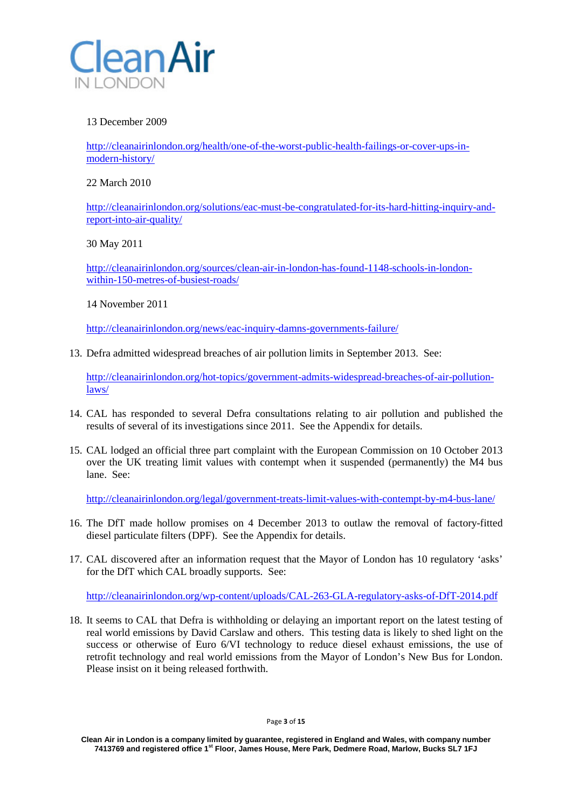

# 13 December 2009

[http://cleanairinlondon.org/health/one-of-the-worst-public-health-failings-or-cover-ups-in](http://cleanairinlondon.org/health/one-of-the-worst-public-health-failings-or-cover-ups-in-modern-history/)[modern-history/](http://cleanairinlondon.org/health/one-of-the-worst-public-health-failings-or-cover-ups-in-modern-history/)

22 March 2010

[http://cleanairinlondon.org/solutions/eac-must-be-congratulated-for-its-hard-hitting-inquiry-and](http://cleanairinlondon.org/solutions/eac-must-be-congratulated-for-its-hard-hitting-inquiry-and-report-into-air-quality/)[report-into-air-quality/](http://cleanairinlondon.org/solutions/eac-must-be-congratulated-for-its-hard-hitting-inquiry-and-report-into-air-quality/)

30 May 2011

[http://cleanairinlondon.org/sources/clean-air-in-london-has-found-1148-schools-in-london](http://cleanairinlondon.org/sources/clean-air-in-london-has-found-1148-schools-in-london-within-150-metres-of-busiest-roads/)[within-150-metres-of-busiest-roads/](http://cleanairinlondon.org/sources/clean-air-in-london-has-found-1148-schools-in-london-within-150-metres-of-busiest-roads/)

14 November 2011

<http://cleanairinlondon.org/news/eac-inquiry-damns-governments-failure/>

13. Defra admitted widespread breaches of air pollution limits in September 2013. See:

[http://cleanairinlondon.org/hot-topics/government-admits-widespread-breaches-of-air-pollution](http://cleanairinlondon.org/hot-topics/government-admits-widespread-breaches-of-air-pollution-laws/)[laws/](http://cleanairinlondon.org/hot-topics/government-admits-widespread-breaches-of-air-pollution-laws/)

- 14. CAL has responded to several Defra consultations relating to air pollution and published the results of several of its investigations since 2011. See the Appendix for details.
- 15. CAL lodged an official three part complaint with the European Commission on 10 October 2013 over the UK treating limit values with contempt when it suspended (permanently) the M4 bus lane. See:

<http://cleanairinlondon.org/legal/government-treats-limit-values-with-contempt-by-m4-bus-lane/>

- 16. The DfT made hollow promises on 4 December 2013 to outlaw the removal of factory-fitted diesel particulate filters (DPF). See the Appendix for details.
- 17. CAL discovered after an information request that the Mayor of London has 10 regulatory 'asks' for the DfT which CAL broadly supports. See:

<http://cleanairinlondon.org/wp-content/uploads/CAL-263-GLA-regulatory-asks-of-DfT-2014.pdf>

18. It seems to CAL that Defra is withholding or delaying an important report on the latest testing of real world emissions by David Carslaw and others. This testing data is likely to shed light on the success or otherwise of Euro 6/VI technology to reduce diesel exhaust emissions, the use of retrofit technology and real world emissions from the Mayor of London's New Bus for London. Please insist on it being released forthwith.

Page **3** of **15**

**Clean Air in London is a company limited by guarantee, registered in England and Wales, with company number 7413769 and registered office 1st Floor, James House, Mere Park, Dedmere Road, Marlow, Bucks SL7 1FJ**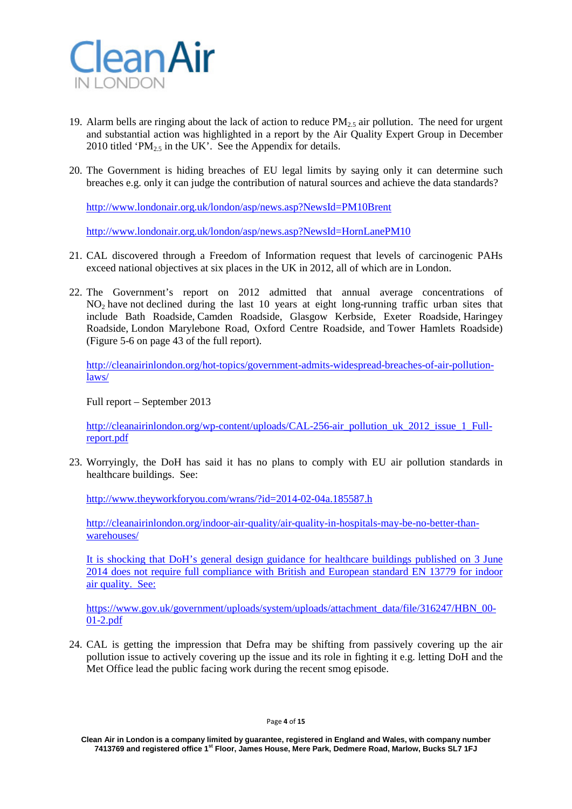

- 19. Alarm bells are ringing about the lack of action to reduce  $PM<sub>25</sub>$  air pollution. The need for urgent and substantial action was highlighted in a report by the Air Quality Expert Group in December 2010 titled 'PM<sub>2.5</sub> in the UK'. See the Appendix for details.
- 20. The Government is hiding breaches of EU legal limits by saying only it can determine such breaches e.g. only it can judge the contribution of natural sources and achieve the data standards?

<http://www.londonair.org.uk/london/asp/news.asp?NewsId=PM10Brent>

<http://www.londonair.org.uk/london/asp/news.asp?NewsId=HornLanePM10>

- 21. CAL discovered through a Freedom of Information request that levels of carcinogenic PAHs exceed national objectives at six places in the UK in 2012, all of which are in London.
- 22. The Government's report on 2012 admitted that annual average concentrations of NO<sub>2</sub> have not declined during the last 10 years at eight long-running traffic urban sites that include Bath Roadside, Camden Roadside, Glasgow Kerbside, Exeter Roadside, Haringey Roadside, London Marylebone Road, Oxford Centre Roadside, and Tower Hamlets Roadside) (Figure 5-6 on page 43 of the full report).

[http://cleanairinlondon.org/hot-topics/government-admits-widespread-breaches-of-air-pollution](http://cleanairinlondon.org/hot-topics/government-admits-widespread-breaches-of-air-pollution-laws/)[laws/](http://cleanairinlondon.org/hot-topics/government-admits-widespread-breaches-of-air-pollution-laws/)

Full report – September 2013

[http://cleanairinlondon.org/wp-content/uploads/CAL-256-air\\_pollution\\_uk\\_2012\\_issue\\_1\\_Full](http://cleanairinlondon.org/wp-content/uploads/CAL-256-air_pollution_uk_2012_issue_1_Full-report.pdf)[report.pdf](http://cleanairinlondon.org/wp-content/uploads/CAL-256-air_pollution_uk_2012_issue_1_Full-report.pdf)

23. Worryingly, the DoH has said it has no plans to comply with EU air pollution standards in healthcare buildings. See:

<http://www.theyworkforyou.com/wrans/?id=2014-02-04a.185587.h>

[http://cleanairinlondon.org/indoor-air-quality/air-quality-in-hospitals-may-be-no-better-than](http://cleanairinlondon.org/indoor-air-quality/air-quality-in-hospitals-may-be-no-better-than-warehouses/)[warehouses/](http://cleanairinlondon.org/indoor-air-quality/air-quality-in-hospitals-may-be-no-better-than-warehouses/)

It is shocking that DoH's general design guidance for healthcare buildings published on 3 June 2014 does not require full compliance with British and European standard EN 13779 for indoor air quality. See:

[https://www.gov.uk/government/uploads/system/uploads/attachment\\_data/file/316247/HBN\\_00-](https://www.gov.uk/government/uploads/system/uploads/attachment_data/file/316247/HBN_00-01-2.pdf) [01-2.pdf](https://www.gov.uk/government/uploads/system/uploads/attachment_data/file/316247/HBN_00-01-2.pdf)

24. CAL is getting the impression that Defra may be shifting from passively covering up the air pollution issue to actively covering up the issue and its role in fighting it e.g. letting DoH and the Met Office lead the public facing work during the recent smog episode.

**Clean Air in London is a company limited by guarantee, registered in England and Wales, with company number 7413769 and registered office 1st Floor, James House, Mere Park, Dedmere Road, Marlow, Bucks SL7 1FJ**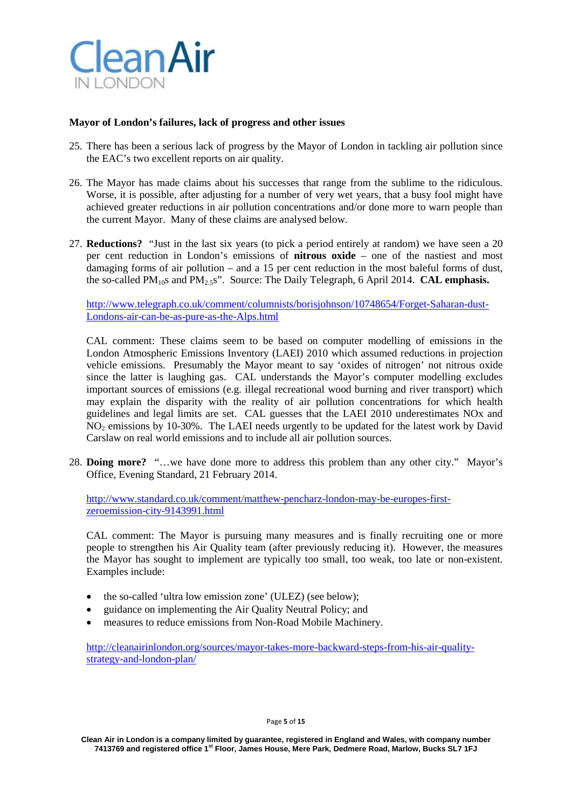

## **Mayor of London's failures, lack of progress and other issues**

- 25. There has been a serious lack of progress by the Mayor of London in tackling air pollution since the EAC's two excellent reports on air quality.
- 26. The Mayor has made claims about his successes that range from the sublime to the ridiculous. Worse, it is possible, after adjusting for a number of very wet years, that a busy fool might have achieved greater reductions in air pollution concentrations and/or done more to warn people than the current Mayor. Many of these claims are analysed below.
- 27. **Reductions?** "Just in the last six years (to pick a period entirely at random) we have seen a 20 per cent reduction in London's emissions of **nitrous oxide** – one of the nastiest and most damaging forms of air pollution – and a 15 per cent reduction in the most baleful forms of dust, the so-called PM<sub>10</sub>s and PM<sub>2.5</sub>s". Source: The Daily Telegraph, 6 April 2014. **CAL emphasis.**

[http://www.telegraph.co.uk/comment/columnists/borisjohnson/10748654/Forget-Saharan-dust-](http://www.telegraph.co.uk/comment/columnists/borisjohnson/10748654/Forget-Saharan-dust-Londons-air-can-be-as-pure-as-the-Alps.html)[Londons-air-can-be-as-pure-as-the-Alps.html](http://www.telegraph.co.uk/comment/columnists/borisjohnson/10748654/Forget-Saharan-dust-Londons-air-can-be-as-pure-as-the-Alps.html)

CAL comment: These claims seem to be based on computer modelling of emissions in the London Atmospheric Emissions Inventory (LAEI) 2010 which assumed reductions in projection vehicle emissions. Presumably the Mayor meant to say 'oxides of nitrogen' not nitrous oxide since the latter is laughing gas. CAL understands the Mayor's computer modelling excludes important sources of emissions (e.g. illegal recreational wood burning and river transport) which may explain the disparity with the reality of air pollution concentrations for which health guidelines and legal limits are set. CAL guesses that the LAEI 2010 underestimates NOx and NO2 emissions by 10-30%. The LAEI needs urgently to be updated for the latest work by David Carslaw on real world emissions and to include all air pollution sources.

28. **Doing more?** "…we have done more to address this problem than any other city." Mayor's Office, Evening Standard, 21 February 2014.

[http://www.standard.co.uk/comment/matthew-pencharz-london-may-be-europes-first](http://www.standard.co.uk/comment/matthew-pencharz-london-may-be-europes-first-zeroemission-city-9143991.html)[zeroemission-city-9143991.html](http://www.standard.co.uk/comment/matthew-pencharz-london-may-be-europes-first-zeroemission-city-9143991.html)

CAL comment: The Mayor is pursuing many measures and is finally recruiting one or more people to strengthen his Air Quality team (after previously reducing it). However, the measures the Mayor has sought to implement are typically too small, too weak, too late or non-existent. Examples include:

- the so-called 'ultra low emission zone' (ULEZ) (see below);
- guidance on implementing the Air Quality Neutral Policy; and
- measures to reduce emissions from Non-Road Mobile Machinery.

[http://cleanairinlondon.org/sources/mayor-takes-more-backward-steps-from-his-air-quality](http://cleanairinlondon.org/sources/mayor-takes-more-backward-steps-from-his-air-quality-strategy-and-london-plan/)[strategy-and-london-plan/](http://cleanairinlondon.org/sources/mayor-takes-more-backward-steps-from-his-air-quality-strategy-and-london-plan/)

Page **5** of **15**

**Clean Air in London is a company limited by guarantee, registered in England and Wales, with company number 7413769 and registered office 1st Floor, James House, Mere Park, Dedmere Road, Marlow, Bucks SL7 1FJ**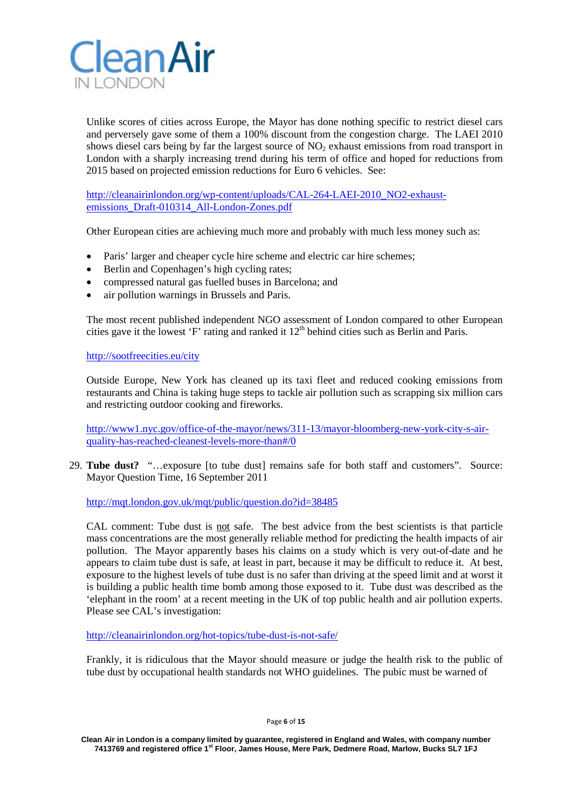

Unlike scores of cities across Europe, the Mayor has done nothing specific to restrict diesel cars and perversely gave some of them a 100% discount from the congestion charge. The LAEI 2010 shows diesel cars being by far the largest source of NO<sub>2</sub> exhaust emissions from road transport in London with a sharply increasing trend during his term of office and hoped for reductions from 2015 based on projected emission reductions for Euro 6 vehicles. See:

[http://cleanairinlondon.org/wp-content/uploads/CAL-264-LAEI-2010\\_NO2-exhaust](http://cleanairinlondon.org/wp-content/uploads/CAL-264-LAEI-2010_NO2-exhaust-emissions_Draft-010314_All-London-Zones.pdf)[emissions\\_Draft-010314\\_All-London-Zones.pdf](http://cleanairinlondon.org/wp-content/uploads/CAL-264-LAEI-2010_NO2-exhaust-emissions_Draft-010314_All-London-Zones.pdf)

Other European cities are achieving much more and probably with much less money such as:

- Paris' larger and cheaper cycle hire scheme and electric car hire schemes;
- Berlin and Copenhagen's high cycling rates;
- compressed natural gas fuelled buses in Barcelona; and
- air pollution warnings in Brussels and Paris.

The most recent published independent NGO assessment of London compared to other European cities gave it the lowest 'F' rating and ranked it  $12<sup>th</sup>$  behind cities such as Berlin and Paris.

<http://sootfreecities.eu/city>

Outside Europe, New York has cleaned up its taxi fleet and reduced cooking emissions from restaurants and China is taking huge steps to tackle air pollution such as scrapping six million cars and restricting outdoor cooking and fireworks.

[http://www1.nyc.gov/office-of-the-mayor/news/311-13/mayor-bloomberg-new-york-city-s-air](http://www1.nyc.gov/office-of-the-mayor/news/311-13/mayor-bloomberg-new-york-city-s-air-quality-has-reached-cleanest-levels-more-than#/0)[quality-has-reached-cleanest-levels-more-than#/0](http://www1.nyc.gov/office-of-the-mayor/news/311-13/mayor-bloomberg-new-york-city-s-air-quality-has-reached-cleanest-levels-more-than#/0)

29. **Tube dust?** "…exposure [to tube dust] remains safe for both staff and customers". Source: Mayor Question Time, 16 September 2011

<http://mqt.london.gov.uk/mqt/public/question.do?id=38485>

CAL comment: Tube dust is not safe. The best advice from the best scientists is that particle mass concentrations are the most generally reliable method for predicting the health impacts of air pollution. The Mayor apparently bases his claims on a study which is very out-of-date and he appears to claim tube dust is safe, at least in part, because it may be difficult to reduce it. At best, exposure to the highest levels of tube dust is no safer than driving at the speed limit and at worst it is building a public health time bomb among those exposed to it. Tube dust was described as the 'elephant in the room' at a recent meeting in the UK of top public health and air pollution experts. Please see CAL's investigation:

<http://cleanairinlondon.org/hot-topics/tube-dust-is-not-safe/>

Frankly, it is ridiculous that the Mayor should measure or judge the health risk to the public of tube dust by occupational health standards not WHO guidelines. The pubic must be warned of

Page **6** of **15**

**Clean Air in London is a company limited by guarantee, registered in England and Wales, with company number 7413769 and registered office 1st Floor, James House, Mere Park, Dedmere Road, Marlow, Bucks SL7 1FJ**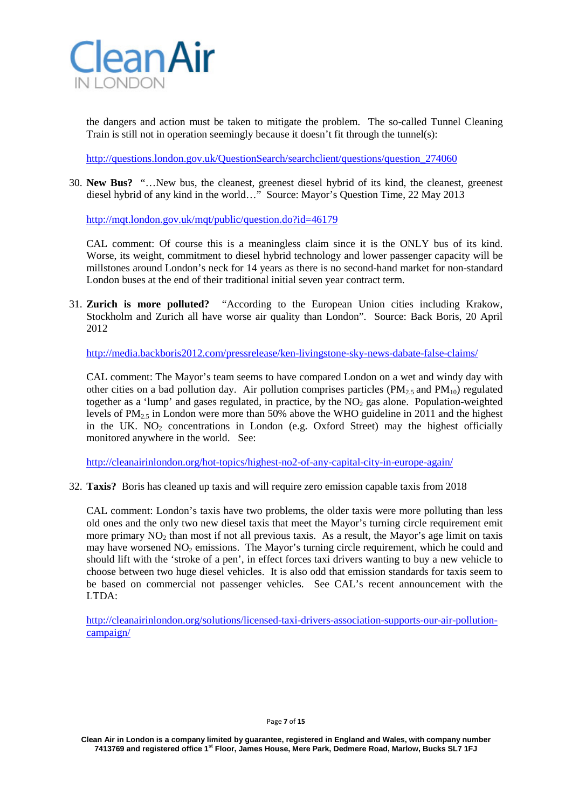

the dangers and action must be taken to mitigate the problem. The so-called Tunnel Cleaning Train is still not in operation seemingly because it doesn't fit through the tunnel(s):

[http://questions.london.gov.uk/QuestionSearch/searchclient/questions/question\\_274060](http://questions.london.gov.uk/QuestionSearch/searchclient/questions/question_274060)

30. **New Bus?** "…New bus, the cleanest, greenest diesel hybrid of its kind, the cleanest, greenest diesel hybrid of any kind in the world…" Source: Mayor's Question Time, 22 May 2013

<http://mqt.london.gov.uk/mqt/public/question.do?id=46179>

CAL comment: Of course this is a meaningless claim since it is the ONLY bus of its kind. Worse, its weight, commitment to diesel hybrid technology and lower passenger capacity will be millstones around London's neck for 14 years as there is no second-hand market for non-standard London buses at the end of their traditional initial seven year contract term.

31. **Zurich is more polluted?** "According to the European Union cities including Krakow, Stockholm and Zurich all have worse air quality than London". Source: Back Boris, 20 April 2012

<http://media.backboris2012.com/pressrelease/ken-livingstone-sky-news-dabate-false-claims/>

CAL comment: The Mayor's team seems to have compared London on a wet and windy day with other cities on a bad pollution day. Air pollution comprises particles ( $PM_{2,5}$  and  $PM_{10}$ ) regulated together as a 'lump' and gases regulated, in practice, by the  $NO<sub>2</sub>$  gas alone. Population-weighted levels of  $PM_{2.5}$  in London were more than 50% above the WHO guideline in 2011 and the highest in the UK.  $NO<sub>2</sub>$  concentrations in London (e.g. Oxford Street) may the highest officially monitored anywhere in the world. See:

<http://cleanairinlondon.org/hot-topics/highest-no2-of-any-capital-city-in-europe-again/>

32. **Taxis?** Boris has cleaned up taxis and will require zero emission capable taxis from 2018

CAL comment: London's taxis have two problems, the older taxis were more polluting than less old ones and the only two new diesel taxis that meet the Mayor's turning circle requirement emit more primary  $NO<sub>2</sub>$  than most if not all previous taxis. As a result, the Mayor's age limit on taxis may have worsened  $NO<sub>2</sub>$  emissions. The Mayor's turning circle requirement, which he could and should lift with the 'stroke of a pen', in effect forces taxi drivers wanting to buy a new vehicle to choose between two huge diesel vehicles. It is also odd that emission standards for taxis seem to be based on commercial not passenger vehicles. See CAL's recent announcement with the  $LTDA$ 

[http://cleanairinlondon.org/solutions/licensed-taxi-drivers-association-supports-our-air-pollution](http://cleanairinlondon.org/solutions/licensed-taxi-drivers-association-supports-our-air-pollution-campaign/)[campaign/](http://cleanairinlondon.org/solutions/licensed-taxi-drivers-association-supports-our-air-pollution-campaign/)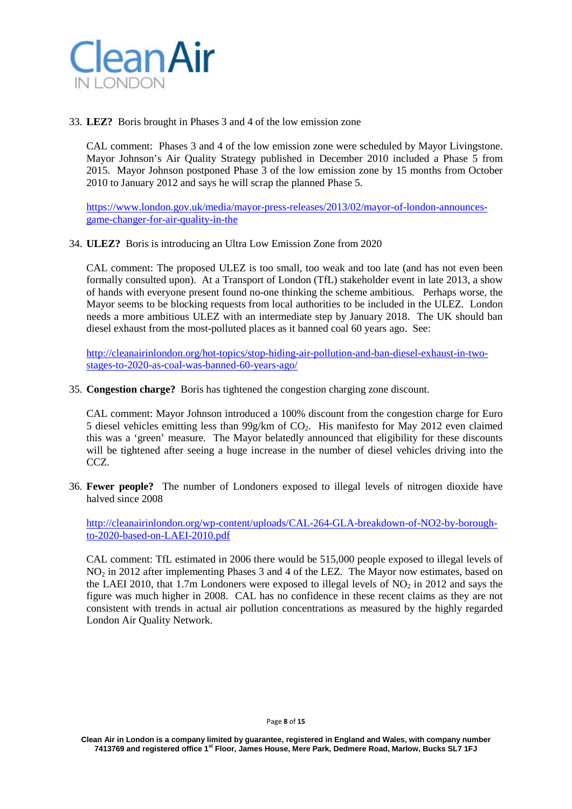

33. **LEZ?** Boris brought in Phases 3 and 4 of the low emission zone

CAL comment: Phases 3 and 4 of the low emission zone were scheduled by Mayor Livingstone. Mayor Johnson's Air Quality Strategy published in December 2010 included a Phase 5 from 2015. Mayor Johnson postponed Phase 3 of the low emission zone by 15 months from October 2010 to January 2012 and says he will scrap the planned Phase 5.

[https://www.london.gov.uk/media/mayor-press-releases/2013/02/mayor-of-london-announces](https://www.london.gov.uk/media/mayor-press-releases/2013/02/mayor-of-london-announces-game-changer-for-air-quality-in-the)[game-changer-for-air-quality-in-the](https://www.london.gov.uk/media/mayor-press-releases/2013/02/mayor-of-london-announces-game-changer-for-air-quality-in-the)

34. **ULEZ?** Boris is introducing an Ultra Low Emission Zone from 2020

CAL comment: The proposed ULEZ is too small, too weak and too late (and has not even been formally consulted upon). At a Transport of London (TfL) stakeholder event in late 2013, a show of hands with everyone present found no-one thinking the scheme ambitious. Perhaps worse, the Mayor seems to be blocking requests from local authorities to be included in the ULEZ. London needs a more ambitious ULEZ with an intermediate step by January 2018. The UK should ban diesel exhaust from the most-polluted places as it banned coal 60 years ago. See:

[http://cleanairinlondon.org/hot-topics/stop-hiding-air-pollution-and-ban-diesel-exhaust-in-two](http://cleanairinlondon.org/hot-topics/stop-hiding-air-pollution-and-ban-diesel-exhaust-in-two-stages-to-2020-as-coal-was-banned-60-years-ago/)[stages-to-2020-as-coal-was-banned-60-years-ago/](http://cleanairinlondon.org/hot-topics/stop-hiding-air-pollution-and-ban-diesel-exhaust-in-two-stages-to-2020-as-coal-was-banned-60-years-ago/)

35. **Congestion charge?** Boris has tightened the congestion charging zone discount.

CAL comment: Mayor Johnson introduced a 100% discount from the congestion charge for Euro 5 diesel vehicles emitting less than  $99g/km$  of  $CO<sub>2</sub>$ . His manifesto for May 2012 even claimed this was a 'green' measure. The Mayor belatedly announced that eligibility for these discounts will be tightened after seeing a huge increase in the number of diesel vehicles driving into the CCZ.

36. **Fewer people?** The number of Londoners exposed to illegal levels of nitrogen dioxide have halved since 2008

[http://cleanairinlondon.org/wp-content/uploads/CAL-264-GLA-breakdown-of-NO2-by-borough](http://cleanairinlondon.org/wp-content/uploads/CAL-264-GLA-breakdown-of-NO2-by-borough-to-2020-based-on-LAEI-2010.pdf)[to-2020-based-on-LAEI-2010.pdf](http://cleanairinlondon.org/wp-content/uploads/CAL-264-GLA-breakdown-of-NO2-by-borough-to-2020-based-on-LAEI-2010.pdf)

CAL comment: TfL estimated in 2006 there would be 515,000 people exposed to illegal levels of NO2 in 2012 after implementing Phases 3 and 4 of the LEZ. The Mayor now estimates, based on the LAEI 2010, that  $1.7$ m Londoners were exposed to illegal levels of NO<sub>2</sub> in 2012 and says the figure was much higher in 2008. CAL has no confidence in these recent claims as they are not consistent with trends in actual air pollution concentrations as measured by the highly regarded London Air Quality Network.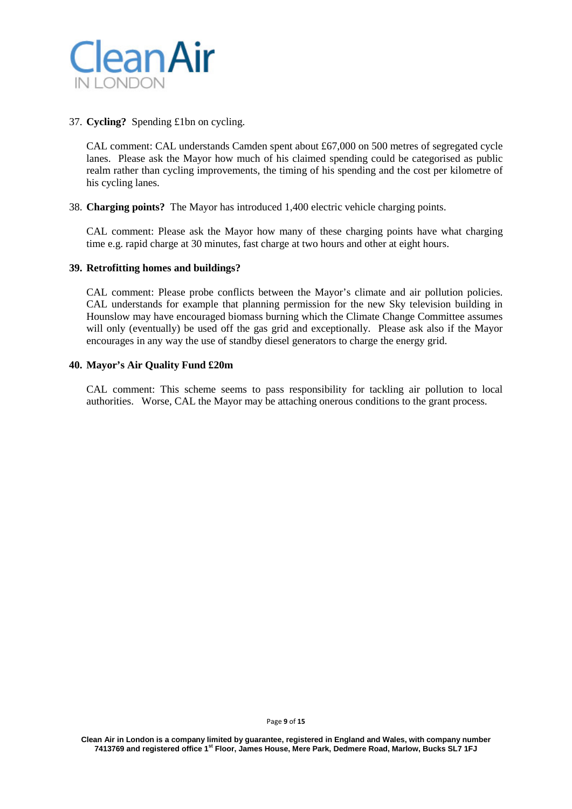

# 37. **Cycling?** Spending £1bn on cycling.

CAL comment: CAL understands Camden spent about £67,000 on 500 metres of segregated cycle lanes. Please ask the Mayor how much of his claimed spending could be categorised as public realm rather than cycling improvements, the timing of his spending and the cost per kilometre of his cycling lanes.

### 38. **Charging points?** The Mayor has introduced 1,400 electric vehicle charging points.

CAL comment: Please ask the Mayor how many of these charging points have what charging time e.g. rapid charge at 30 minutes, fast charge at two hours and other at eight hours.

### **39. Retrofitting homes and buildings?**

CAL comment: Please probe conflicts between the Mayor's climate and air pollution policies. CAL understands for example that planning permission for the new Sky television building in Hounslow may have encouraged biomass burning which the Climate Change Committee assumes will only (eventually) be used off the gas grid and exceptionally. Please ask also if the Mayor encourages in any way the use of standby diesel generators to charge the energy grid.

### **40. Mayor's Air Quality Fund £20m**

CAL comment: This scheme seems to pass responsibility for tackling air pollution to local authorities. Worse, CAL the Mayor may be attaching onerous conditions to the grant process.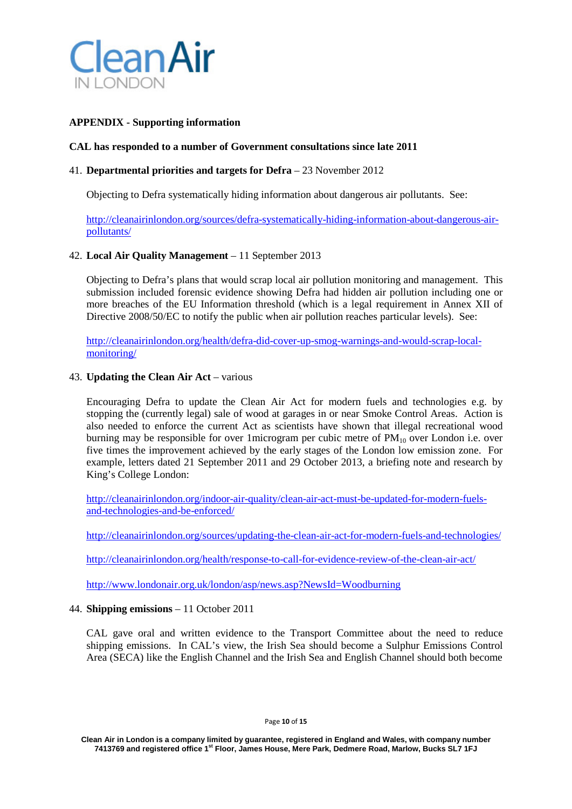

# **APPENDIX - Supporting information**

## **CAL has responded to a number of Government consultations since late 2011**

## 41. **Departmental priorities and targets for Defra** – 23 November 2012

Objecting to Defra systematically hiding information about dangerous air pollutants. See:

[http://cleanairinlondon.org/sources/defra-systematically-hiding-information-about-dangerous-air](http://cleanairinlondon.org/sources/defra-systematically-hiding-information-about-dangerous-air-pollutants/)[pollutants/](http://cleanairinlondon.org/sources/defra-systematically-hiding-information-about-dangerous-air-pollutants/)

# 42. **Local Air Quality Management** – 11 September 2013

Objecting to Defra's plans that would scrap local air pollution monitoring and management. This submission included forensic evidence showing Defra had hidden air pollution including one or more breaches of the EU Information threshold (which is a legal requirement in Annex XII of Directive 2008/50/EC to notify the public when air pollution reaches particular levels). See:

[http://cleanairinlondon.org/health/defra-did-cover-up-smog-warnings-and-would-scrap-local](http://cleanairinlondon.org/health/defra-did-cover-up-smog-warnings-and-would-scrap-local-monitoring/)[monitoring/](http://cleanairinlondon.org/health/defra-did-cover-up-smog-warnings-and-would-scrap-local-monitoring/)

#### 43. **Updating the Clean Air Act** – various

Encouraging Defra to update the Clean Air Act for modern fuels and technologies e.g. by stopping the (currently legal) sale of wood at garages in or near Smoke Control Areas. Action is also needed to enforce the current Act as scientists have shown that illegal recreational wood burning may be responsible for over 1 microgram per cubic metre of  $PM_{10}$  over London i.e. over five times the improvement achieved by the early stages of the London low emission zone. For example, letters dated 21 September 2011 and 29 October 2013, a briefing note and research by King's College London:

[http://cleanairinlondon.org/indoor-air-quality/clean-air-act-must-be-updated-for-modern-fuels](http://cleanairinlondon.org/indoor-air-quality/clean-air-act-must-be-updated-for-modern-fuels-and-technologies-and-be-enforced/)[and-technologies-and-be-enforced/](http://cleanairinlondon.org/indoor-air-quality/clean-air-act-must-be-updated-for-modern-fuels-and-technologies-and-be-enforced/)

<http://cleanairinlondon.org/sources/updating-the-clean-air-act-for-modern-fuels-and-technologies/>

<http://cleanairinlondon.org/health/response-to-call-for-evidence-review-of-the-clean-air-act/>

<http://www.londonair.org.uk/london/asp/news.asp?NewsId=Woodburning>

#### 44. **Shipping emissions** – 11 October 2011

CAL gave oral and written evidence to the Transport Committee about the need to reduce shipping emissions. In CAL's view, the Irish Sea should become a Sulphur Emissions Control Area (SECA) like the English Channel and the Irish Sea and English Channel should both become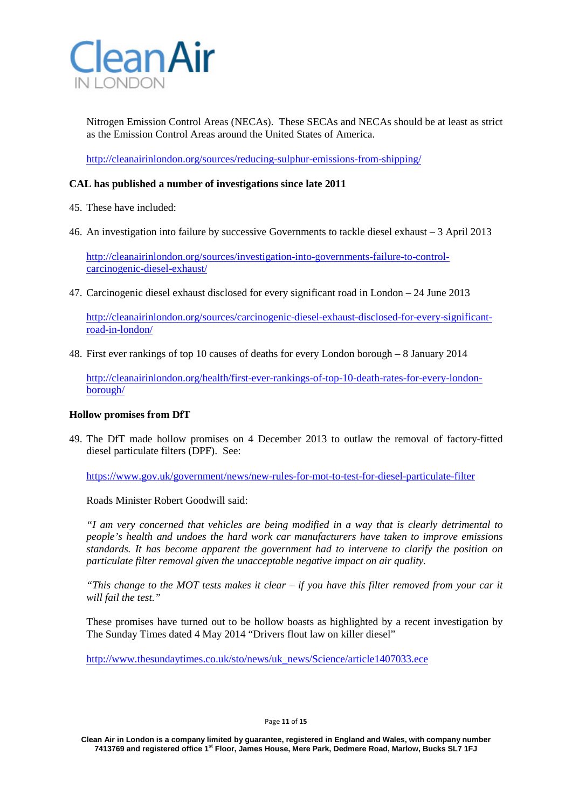

Nitrogen Emission Control Areas (NECAs). These SECAs and NECAs should be at least as strict as the Emission Control Areas around the United States of America.

<http://cleanairinlondon.org/sources/reducing-sulphur-emissions-from-shipping/>

# **CAL has published a number of investigations since late 2011**

- 45. These have included:
- 46. An investigation into failure by successive Governments to tackle diesel exhaust 3 April 2013

[http://cleanairinlondon.org/sources/investigation-into-governments-failure-to-control](http://cleanairinlondon.org/sources/investigation-into-governments-failure-to-control-carcinogenic-diesel-exhaust/)[carcinogenic-diesel-exhaust/](http://cleanairinlondon.org/sources/investigation-into-governments-failure-to-control-carcinogenic-diesel-exhaust/)

47. Carcinogenic diesel exhaust disclosed for every significant road in London – 24 June 2013

[http://cleanairinlondon.org/sources/carcinogenic-diesel-exhaust-disclosed-for-every-significant](http://cleanairinlondon.org/sources/carcinogenic-diesel-exhaust-disclosed-for-every-significant-road-in-london/)[road-in-london/](http://cleanairinlondon.org/sources/carcinogenic-diesel-exhaust-disclosed-for-every-significant-road-in-london/)

48. First ever rankings of top 10 causes of deaths for every London borough – 8 January 2014

[http://cleanairinlondon.org/health/first-ever-rankings-of-top-10-death-rates-for-every-london](http://cleanairinlondon.org/health/first-ever-rankings-of-top-10-death-rates-for-every-london-borough/)[borough/](http://cleanairinlondon.org/health/first-ever-rankings-of-top-10-death-rates-for-every-london-borough/)

### **Hollow promises from DfT**

49. The DfT made hollow promises on 4 December 2013 to outlaw the removal of factory-fitted diesel particulate filters (DPF). See:

<https://www.gov.uk/government/news/new-rules-for-mot-to-test-for-diesel-particulate-filter>

Roads Minister Robert Goodwill said:

*"I am very concerned that vehicles are being modified in a way that is clearly detrimental to people's health and undoes the hard work car manufacturers have taken to improve emissions standards. It has become apparent the government had to intervene to clarify the position on particulate filter removal given the unacceptable negative impact on air quality.*

*"This change to the MOT tests makes it clear – if you have this filter removed from your car it will fail the test."*

These promises have turned out to be hollow boasts as highlighted by a recent investigation by The Sunday Times dated 4 May 2014 "Drivers flout law on killer diesel"

[http://www.thesundaytimes.co.uk/sto/news/uk\\_news/Science/article1407033.ece](http://www.thesundaytimes.co.uk/sto/news/uk_news/Science/article1407033.ece)

Page **11** of **15**

**Clean Air in London is a company limited by guarantee, registered in England and Wales, with company number 7413769 and registered office 1st Floor, James House, Mere Park, Dedmere Road, Marlow, Bucks SL7 1FJ**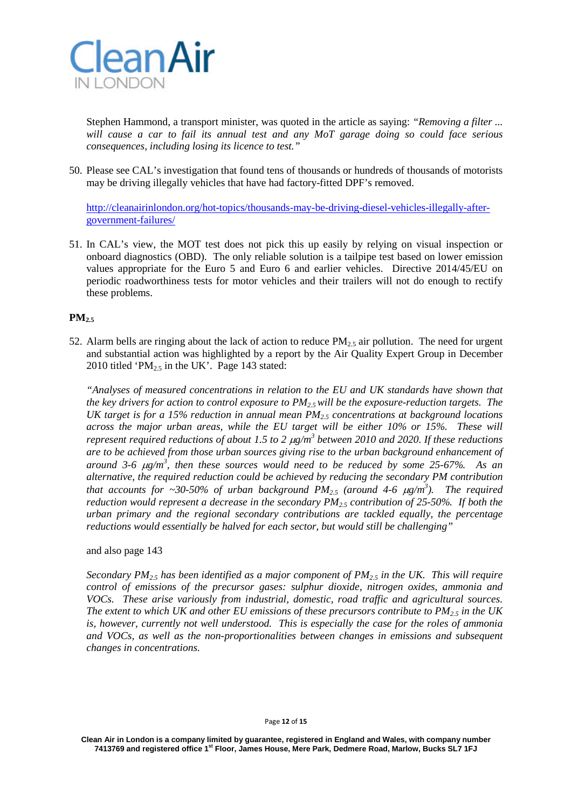

Stephen Hammond, a transport minister, was quoted in the article as saying: *"Removing a filter ... will cause a car to fail its annual test and any MoT garage doing so could face serious consequences, including losing its licence to test."*

50. Please see CAL's investigation that found tens of thousands or hundreds of thousands of motorists may be driving illegally vehicles that have had factory-fitted DPF's removed.

[http://cleanairinlondon.org/hot-topics/thousands-may-be-driving-diesel-vehicles-illegally-after](http://cleanairinlondon.org/hot-topics/thousands-may-be-driving-diesel-vehicles-illegally-after-government-failures/)[government-failures/](http://cleanairinlondon.org/hot-topics/thousands-may-be-driving-diesel-vehicles-illegally-after-government-failures/)

51. In CAL's view, the MOT test does not pick this up easily by relying on visual inspection or onboard diagnostics (OBD). The only reliable solution is a tailpipe test based on lower emission values appropriate for the Euro 5 and Euro 6 and earlier vehicles. Directive 2014/45/EU on periodic roadworthiness tests for motor vehicles and their trailers will not do enough to rectify these problems.

# $PM_{2.5}$

52. Alarm bells are ringing about the lack of action to reduce  $PM_{2.5}$  air pollution. The need for urgent and substantial action was highlighted by a report by the Air Quality Expert Group in December 2010 titled 'P $M<sub>2.5</sub>$  in the UK'. Page 143 stated:

*"Analyses of measured concentrations in relation to the EU and UK standards have shown that the key drivers for action to control exposure to PM2.5 will be the exposure-reduction targets. The UK target is for a 15% reduction in annual mean PM2.5 concentrations at background locations across the major urban areas, while the EU target will be either 10% or 15%. These will represent required reductions of about 1.5 to 2*  $\mu$ *g/m<sup>3</sup> <i>between 2010 and 2020. If these reductions are to be achieved from those urban sources giving rise to the urban background enhancement of around 3-6* µ*g/m3 , then these sources would need to be reduced by some 25-67%. As an alternative, the required reduction could be achieved by reducing the secondary PM contribution that accounts for ~30-50% of urban background*  $PM_{2.5}$  *(around 4-6*  $\mu$ *g/m<sup>3</sup>). The required reduction would represent a decrease in the secondary PM2.5 contribution of 25-50%. If both the urban primary and the regional secondary contributions are tackled equally, the percentage reductions would essentially be halved for each sector, but would still be challenging"*

#### and also page 143

*Secondary PM2.5 has been identified as a major component of PM2.5 in the UK. This will require control of emissions of the precursor gases: sulphur dioxide, nitrogen oxides, ammonia and VOCs. These arise variously from industrial, domestic, road traffic and agricultural sources. The extent to which UK and other EU emissions of these precursors contribute to PM2.5 in the UK is, however, currently not well understood. This is especially the case for the roles of ammonia and VOCs, as well as the non-proportionalities between changes in emissions and subsequent changes in concentrations.*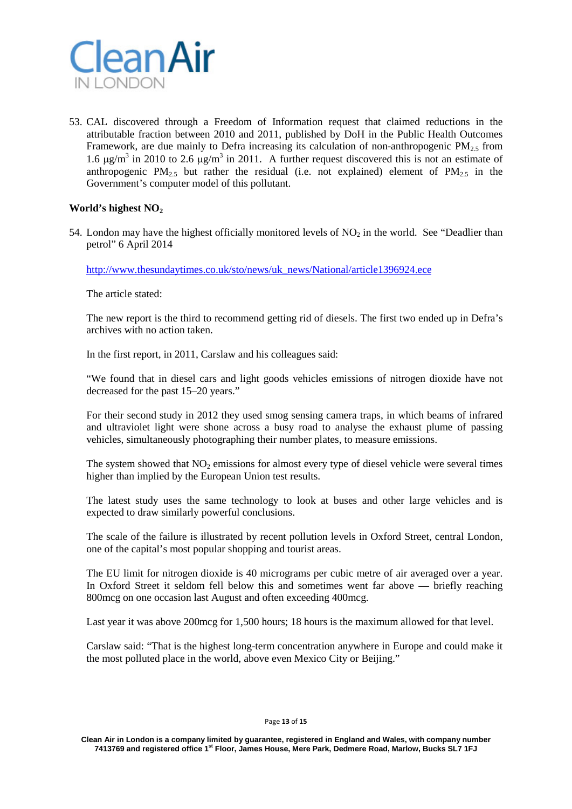

53. CAL discovered through a Freedom of Information request that claimed reductions in the attributable fraction between 2010 and 2011, published by DoH in the Public Health Outcomes Framework, are due mainly to Defra increasing its calculation of non-anthropogenic  $PM_{2.5}$  from 1.6  $\mu$ g/m<sup>3</sup> in 2010 to 2.6  $\mu$ g/m<sup>3</sup> in 2011. A further request discovered this is not an estimate of anthropogenic PM<sub>2.5</sub> but rather the residual (i.e. not explained) element of PM<sub>2.5</sub> in the Government's computer model of this pollutant.

# World's highest NO<sub>2</sub>

54. London may have the highest officially monitored levels of  $NO<sub>2</sub>$  in the world. See "Deadlier than petrol" 6 April 2014

[http://www.thesundaytimes.co.uk/sto/news/uk\\_news/National/article1396924.ece](http://www.thesundaytimes.co.uk/sto/news/uk_news/National/article1396924.ece)

The article stated:

The new report is the third to recommend getting rid of diesels. The first two ended up in Defra's archives with no action taken.

In the first report, in 2011, Carslaw and his colleagues said:

"We found that in diesel cars and light goods vehicles emissions of nitrogen dioxide have not decreased for the past 15–20 years."

For their second study in 2012 they used smog sensing camera traps, in which beams of infrared and ultraviolet light were shone across a busy road to analyse the exhaust plume of passing vehicles, simultaneously photographing their number plates, to measure emissions.

The system showed that  $NO<sub>2</sub>$  emissions for almost every type of diesel vehicle were several times higher than implied by the European Union test results.

The latest study uses the same technology to look at buses and other large vehicles and is expected to draw similarly powerful conclusions.

The scale of the failure is illustrated by recent pollution levels in Oxford Street, central London, one of the capital's most popular shopping and tourist areas.

The EU limit for nitrogen dioxide is 40 micrograms per cubic metre of air averaged over a year. In Oxford Street it seldom fell below this and sometimes went far above — briefly reaching 800mcg on one occasion last August and often exceeding 400mcg.

Last year it was above 200mcg for 1,500 hours; 18 hours is the maximum allowed for that level.

Carslaw said: "That is the highest long-term concentration anywhere in Europe and could make it the most polluted place in the world, above even Mexico City or Beijing."

#### Page **13** of **15**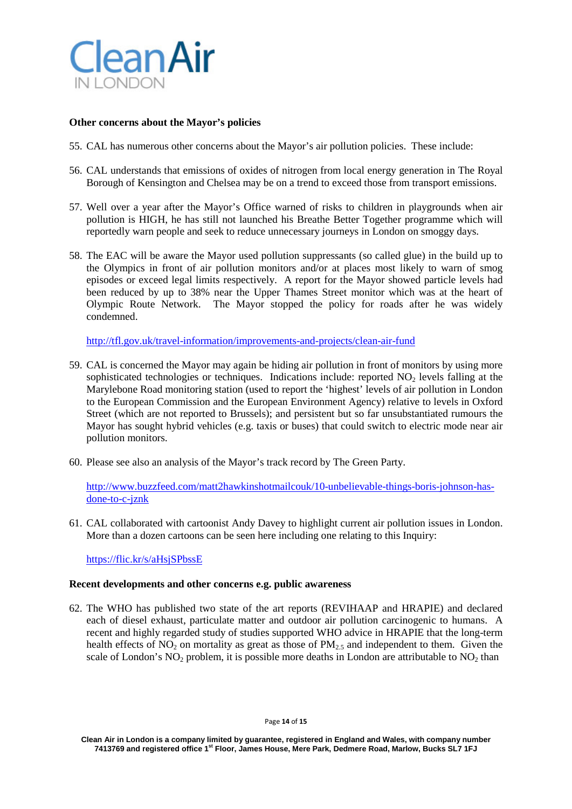

## **Other concerns about the Mayor's policies**

- 55. CAL has numerous other concerns about the Mayor's air pollution policies. These include:
- 56. CAL understands that emissions of oxides of nitrogen from local energy generation in The Royal Borough of Kensington and Chelsea may be on a trend to exceed those from transport emissions.
- 57. Well over a year after the Mayor's Office warned of risks to children in playgrounds when air pollution is HIGH, he has still not launched his Breathe Better Together programme which will reportedly warn people and seek to reduce unnecessary journeys in London on smoggy days.
- 58. The EAC will be aware the Mayor used pollution suppressants (so called glue) in the build up to the Olympics in front of air pollution monitors and/or at places most likely to warn of smog episodes or exceed legal limits respectively. A report for the Mayor showed particle levels had been reduced by up to 38% near the Upper Thames Street monitor which was at the heart of Olympic Route Network. The Mayor stopped the policy for roads after he was widely condemned.

<http://tfl.gov.uk/travel-information/improvements-and-projects/clean-air-fund>

- 59. CAL is concerned the Mayor may again be hiding air pollution in front of monitors by using more sophisticated technologies or techniques. Indications include: reported  $NO<sub>2</sub>$  levels falling at the Marylebone Road monitoring station (used to report the 'highest' levels of air pollution in London to the European Commission and the European Environment Agency) relative to levels in Oxford Street (which are not reported to Brussels); and persistent but so far unsubstantiated rumours the Mayor has sought hybrid vehicles (e.g. taxis or buses) that could switch to electric mode near air pollution monitors.
- 60. Please see also an analysis of the Mayor's track record by The Green Party.

[http://www.buzzfeed.com/matt2hawkinshotmailcouk/10-unbelievable-things-boris-johnson-has](http://www.buzzfeed.com/matt2hawkinshotmailcouk/10-unbelievable-things-boris-johnson-has-done-to-c-jznk)[done-to-c-jznk](http://www.buzzfeed.com/matt2hawkinshotmailcouk/10-unbelievable-things-boris-johnson-has-done-to-c-jznk)

61. CAL collaborated with cartoonist Andy Davey to highlight current air pollution issues in London. More than a dozen cartoons can be seen here including one relating to this Inquiry:

<https://flic.kr/s/aHsjSPbssE>

#### **Recent developments and other concerns e.g. public awareness**

62. The WHO has published two state of the art reports (REVIHAAP and HRAPIE) and declared each of diesel exhaust, particulate matter and outdoor air pollution carcinogenic to humans. A recent and highly regarded study of studies supported WHO advice in HRAPIE that the long-term health effects of  $NO_2$  on mortality as great as those of  $PM_{2.5}$  and independent to them. Given the scale of London's NO<sub>2</sub> problem, it is possible more deaths in London are attributable to NO<sub>2</sub> than